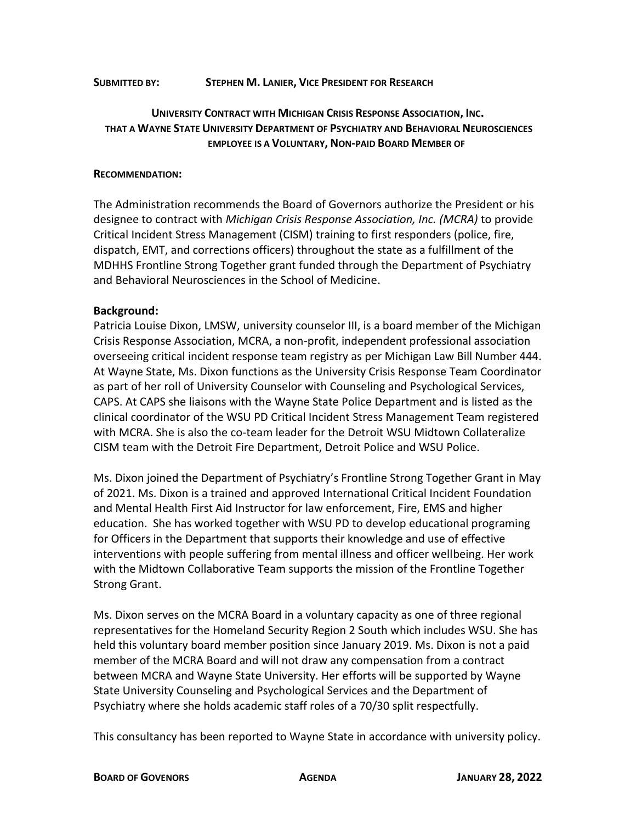## **SUBMITTED BY: STEPHEN M. LANIER, VICE PRESIDENT FOR RESEARCH**

## **UNIVERSITY CONTRACT WITH MICHIGAN CRISIS RESPONSE ASSOCIATION, INC. THAT A WAYNE STATE UNIVERSITY DEPARTMENT OF PSYCHIATRY AND BEHAVIORAL NEUROSCIENCES EMPLOYEE IS A VOLUNTARY, NON-PAID BOARD MEMBER OF**

## **RECOMMENDATION:**

The Administration recommends the Board of Governors authorize the President or his designee to contract with *Michigan Crisis Response Association, Inc. (MCRA)* to provide Critical Incident Stress Management (CISM) training to first responders (police, fire, dispatch, EMT, and corrections officers) throughout the state as a fulfillment of the MDHHS Frontline Strong Together grant funded through the Department of Psychiatry and Behavioral Neurosciences in the School of Medicine.

## **Background:**

Patricia Louise Dixon, LMSW, university counselor III, is a board member of the Michigan Crisis Response Association, MCRA, a non-profit, independent professional association overseeing critical incident response team registry as per Michigan Law Bill Number 444. At Wayne State, Ms. Dixon functions as the University Crisis Response Team Coordinator as part of her roll of University Counselor with Counseling and Psychological Services, CAPS. At CAPS she liaisons with the Wayne State Police Department and is listed as the clinical coordinator of the WSU PD Critical Incident Stress Management Team registered with MCRA. She is also the co-team leader for the Detroit WSU Midtown Collateralize CISM team with the Detroit Fire Department, Detroit Police and WSU Police.

Ms. Dixon joined the Department of Psychiatry's Frontline Strong Together Grant in May of 2021. Ms. Dixon is a trained and approved International Critical Incident Foundation and Mental Health First Aid Instructor for law enforcement, Fire, EMS and higher education. She has worked together with WSU PD to develop educational programing for Officers in the Department that supports their knowledge and use of effective interventions with people suffering from mental illness and officer wellbeing. Her work with the Midtown Collaborative Team supports the mission of the Frontline Together Strong Grant.

Ms. Dixon serves on the MCRA Board in a voluntary capacity as one of three regional representatives for the Homeland Security Region 2 South which includes WSU. She has held this voluntary board member position since January 2019. Ms. Dixon is not a paid member of the MCRA Board and will not draw any compensation from a contract between MCRA and Wayne State University. Her efforts will be supported by Wayne State University Counseling and Psychological Services and the Department of Psychiatry where she holds academic staff roles of a 70/30 split respectfully.

This consultancy has been reported to Wayne State in accordance with university policy.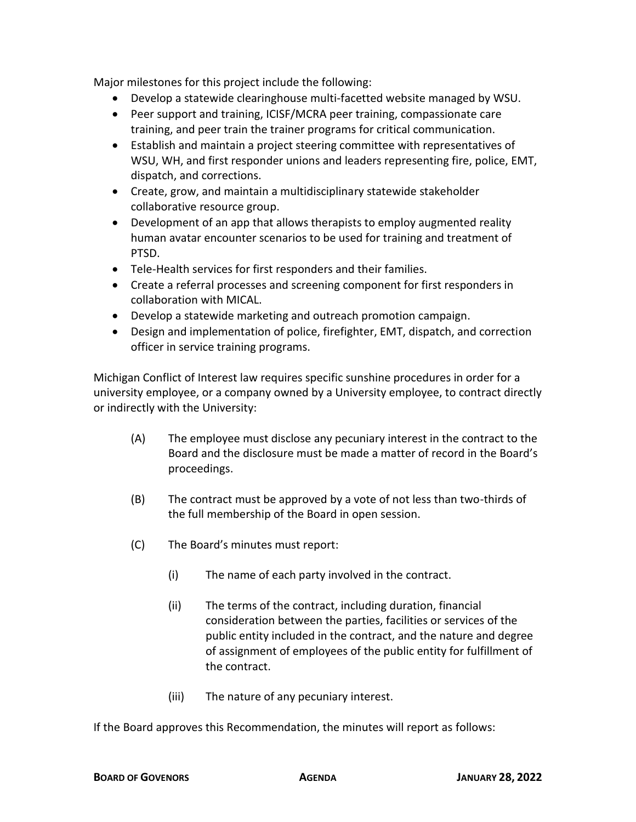Major milestones for this project include the following:

- Develop a statewide clearinghouse multi-facetted website managed by WSU.
- Peer support and training, ICISF/MCRA peer training, compassionate care training, and peer train the trainer programs for critical communication.
- Establish and maintain a project steering committee with representatives of WSU, WH, and first responder unions and leaders representing fire, police, EMT, dispatch, and corrections.
- Create, grow, and maintain a multidisciplinary statewide stakeholder collaborative resource group.
- Development of an app that allows therapists to employ augmented reality human avatar encounter scenarios to be used for training and treatment of PTSD.
- Tele-Health services for first responders and their families.
- Create a referral processes and screening component for first responders in collaboration with MICAL.
- Develop a statewide marketing and outreach promotion campaign.
- Design and implementation of police, firefighter, EMT, dispatch, and correction officer in service training programs.

Michigan Conflict of Interest law requires specific sunshine procedures in order for a university employee, or a company owned by a University employee, to contract directly or indirectly with the University:

- (A) The employee must disclose any pecuniary interest in the contract to the Board and the disclosure must be made a matter of record in the Board's proceedings.
- (B) The contract must be approved by a vote of not less than two-thirds of the full membership of the Board in open session.
- (C) The Board's minutes must report:
	- (i) The name of each party involved in the contract.
	- (ii) The terms of the contract, including duration, financial consideration between the parties, facilities or services of the public entity included in the contract, and the nature and degree of assignment of employees of the public entity for fulfillment of the contract.
	- (iii) The nature of any pecuniary interest.

If the Board approves this Recommendation, the minutes will report as follows: